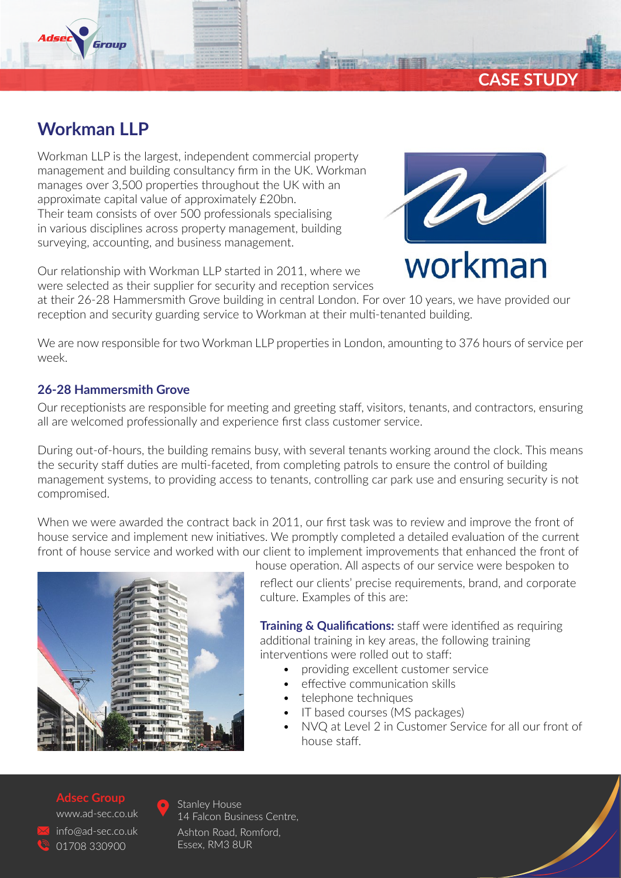

Group

Workman LLP is the largest, independent commercial property management and building consultancy firm in the UK. Workman manages over 3,500 properties throughout the UK with an approximate capital value of approximately £20bn. Their team consists of over 500 professionals specialising in various disciplines across property management, building surveying, accounting, and business management.

Our relationship with Workman LLP started in 2011, where we were selected as their supplier for security and reception services



**CASE STUDY**

at their 26-28 Hammersmith Grove building in central London. For over 10 years, we have provided our reception and security guarding service to Workman at their multi-tenanted building.

We are now responsible for two Workman LLP properties in London, amounting to 376 hours of service per week.

## **26-28 Hammersmith Grove**

Our receptionists are responsible for meeting and greeting staff, visitors, tenants, and contractors, ensuring all are welcomed professionally and experience first class customer service.

During out-of-hours, the building remains busy, with several tenants working around the clock. This means the security staff duties are multi-faceted, from completing patrols to ensure the control of building management systems, to providing access to tenants, controlling car park use and ensuring security is not compromised.

When we were awarded the contract back in 2011, our first task was to review and improve the front of house service and implement new initiatives. We promptly completed a detailed evaluation of the current front of house service and worked with our client to implement improvements that enhanced the front of



house operation. All aspects of our service were bespoken to reflect our clients' precise requirements, brand, and corporate culture. Examples of this are:

**Training & Qualifications:** staff were identified as requiring additional training in key areas, the following training interventions were rolled out to staff:

- providing excellent customer service
- effective communication skills
- telephone techniques
- IT based courses (MS packages)
- NVQ at Level 2 in Customer Service for all our front of house staff.

#### **Adsec Group**

www.ad-sec.co.uk info@ad-sec.co.uk 01708 330900



Stanley House 14 Falcon Business Centre, Ashton Road, Romford, Essex, RM3 8UR